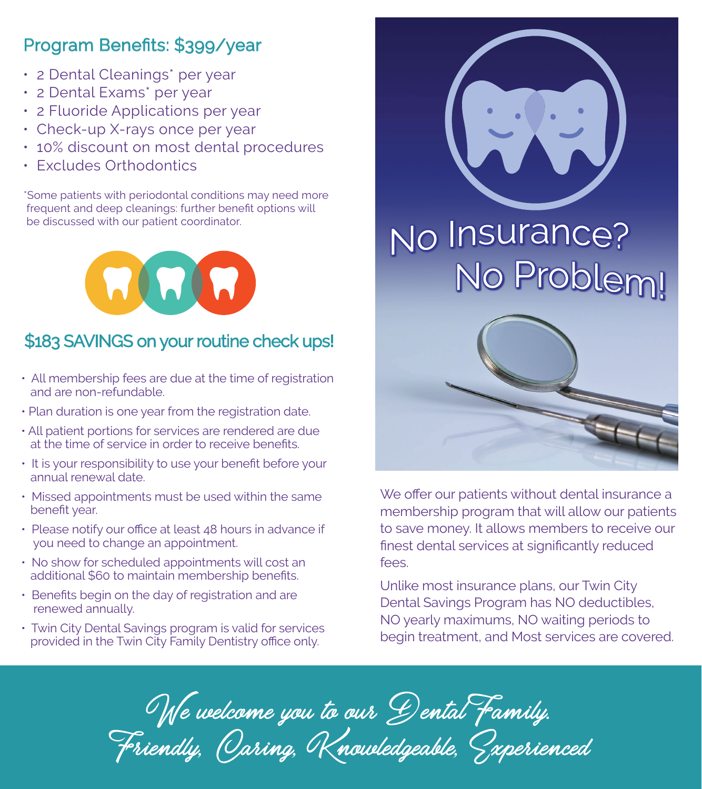## Program Benefits: \$399/year

- 2 Dental Cleanings\* per year
- 2 Dental Exams\* per year
- 2 Fluoride Applications per year
- Check-up X-rays once per year
- 10% discount on most dental procedures
- Excludes Orthodontics

\*Some patients with periodontal conditions may need more frequent and deep cleanings: further benefit options will be discussed with our patient coordinator.

MAN

## \$183 SAVINGS on your routine check ups!

- All membership fees are due at the time of registration and are non-refundable.
- Plan duration is one year from the registration date.
- All patient portions for services are rendered are due at the time of service in order to receive benefits.
- It is your responsibility to use your benefit before your annual renewal date.
- Missed appointments must be used within the same benefit year.
- Please notify our office at least 48 hours in advance if you need to change an appointment.
- No show for scheduled appointments will cost an additional \$60 to maintain membership benefits.
- Benefits begin on the day of registration and are renewed annually.
- Twin City Dental Savings program is valid for services provided in the Twin City Family Dentistry office only.



We offer our patients without dental insurance a membership program that will allow our patients to save money. It allows members to receive our finest dental services at significantly reduced  $f \circ \circ \circ$ 

Unlike most insurance plans, our Twin City Dental Savings Program has NO deductibles, NO yearly maximums, NO waiting periods to begin treatment, and Most services are covered.

We welcome you to our Dental Family. Friendly, Oaring, Knowledgeable, Sxperienced